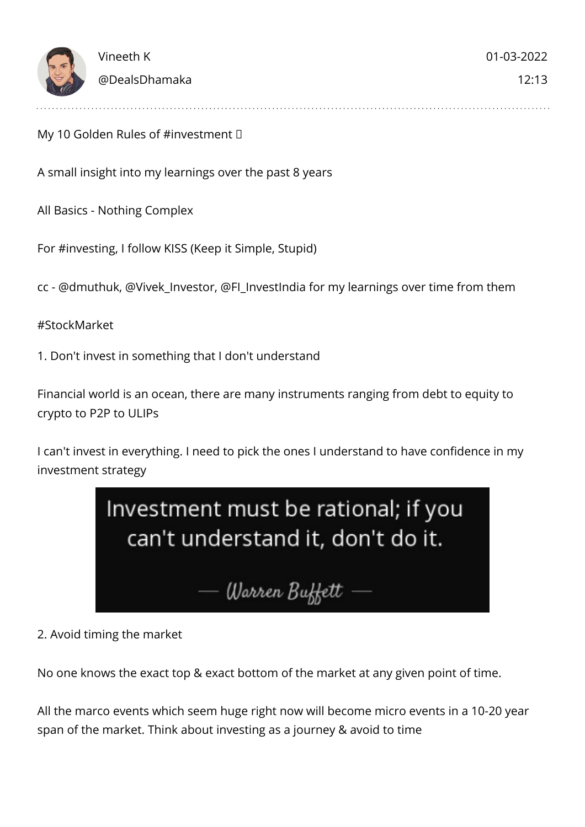

My 10 Golden Rules of #investment  $\Box$ 

A small insight into my learnings over the past 8 years

All Basics - Nothing Complex

For #investing, I follow KISS (Keep it Simple, Stupid)

cc - @dmuthuk, @Vivek\_Investor, @FI\_InvestIndia for my learnings over time from them

#StockMarket

1. Don't invest in something that I don't understand

Financial world is an ocean, there are many instruments ranging from debt to equity to crypto to P2P to ULIPs

I can't invest in everything. I need to pick the ones I understand to have confidence in my investment strategy



2. Avoid timing the market

No one knows the exact top & exact bottom of the market at any given point of time.

All the marco events which seem huge right now will become micro events in a 10-20 year span of the market. Think about investing as a journey & avoid to time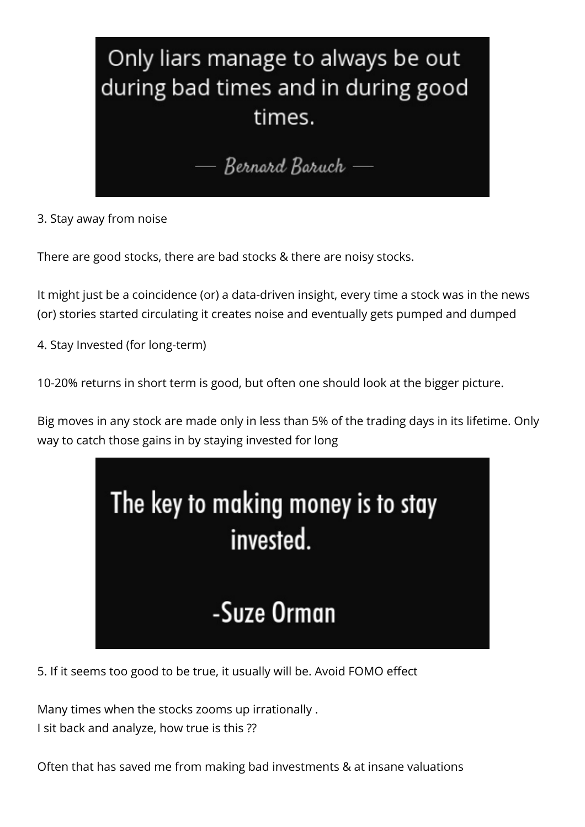

3. Stay away from noise

There are good stocks, there are bad stocks & there are noisy stocks.

It might just be a coincidence (or) a data-driven insight, every time a stock was in the news (or) stories started circulating it creates noise and eventually gets pumped and dumped

4. Stay Invested (for long-term)

10-20% returns in short term is good, but often one should look at the bigger picture.

Big moves in any stock are made only in less than 5% of the trading days in its lifetime. Only way to catch those gains in by staying invested for long



5. If it seems too good to be true, it usually will be. Avoid FOMO effect

Many times when the stocks zooms up irrationally . I sit back and analyze, how true is this ??

Often that has saved me from making bad investments & at insane valuations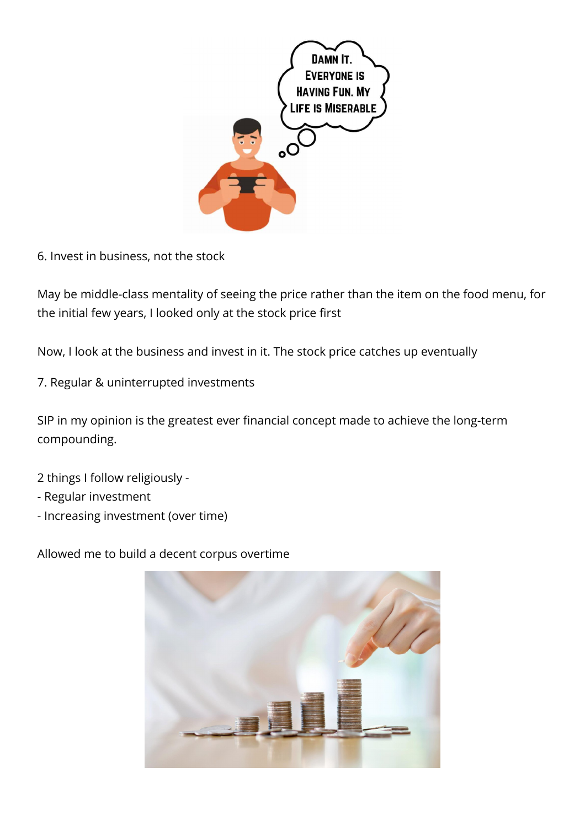

6. Invest in business, not the stock

May be middle-class mentality of seeing the price rather than the item on the food menu, for the initial few years, I looked only at the stock price first

Now, I look at the business and invest in it. The stock price catches up eventually

7. Regular & uninterrupted investments

SIP in my opinion is the greatest ever financial concept made to achieve the long-term compounding.

- 2 things I follow religiously -
- Regular investment
- Increasing investment (over time)

Allowed me to build a decent corpus overtime